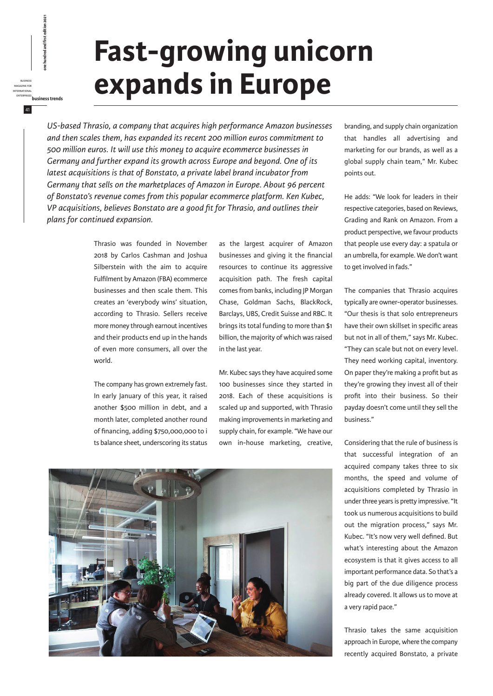## **Fast-growing unicorn expands in Europe**

*US-based Thrasio, a company that acquires high performance Amazon businesses and then scales them, has expanded its recent 200 million euros commitment to 500 million euros. It will use this money to acquire ecommerce businesses in Germany and further expand its growth across Europe and beyond. One of its latest acquisitions is that of Bonstato, a private label brand incubator from Germany that sells on the marketplaces of Amazon in Europe. About 96 percent of Bonstato's revenue comes from this popular ecommerce platform. Ken Kubec, VP acquisitions, believes Bonstato are a good fit for Thrasio, and outlines their plans for continued expansion.*

> Thrasio was founded in November 2018 by Carlos Cashman and Joshua Silberstein with the aim to acquire Fulfilment by Amazon (FBA) ecommerce businesses and then scale them. This creates an 'everybody wins' situation, according to Thrasio. Sellers receive more money through earnout incentives and their products end up in the hands of even more consumers, all over the world.

business magazine for international

41

enterprises<br>**business**<br>enterprises<br>*business*<br>EERNATIONAL<br>ENTERPRISES<br>ENTERPRISES<br>ENTERPRISES<br>ENTERPRISES<br>ENTERPRISES

The company has grown extremely fast. In early January of this year, it raised another \$500 million in debt, and a month later, completed another round of financing, adding \$750,000,000 to i ts balance sheet, underscoring its status as the largest acquirer of Amazon businesses and giving it the financial resources to continue its aggressive acquisition path. The fresh capital comes from banks, including JP Morgan Chase, Goldman Sachs, BlackRock, Barclays, UBS, Credit Suisse and RBC. It brings its total funding to more than \$1 billion, the majority of which was raised in the last year.

Mr. Kubec says they have acquired some 100 businesses since they started in 2018. Each of these acquisitions is scaled up and supported, with Thrasio making improvements in marketing and supply chain, for example. "We have our own in-house marketing, creative,



branding, and supply chain organization that handles all advertising and marketing for our brands, as well as a global supply chain team," Mr. Kubec points out.

He adds: "We look for leaders in their respective categories, based on Reviews, Grading and Rank on Amazon. From a product perspective, we favour products that people use every day: a spatula or an umbrella, for example. We don't want to get involved in fads."

The companies that Thrasio acquires typically are owner-operator businesses. "Our thesis is that solo entrepreneurs have their own skillset in specific areas but not in all of them," says Mr. Kubec. "They can scale but not on every level. They need working capital, inventory. On paper they're making a profit but as they're growing they invest all of their profit into their business. So their payday doesn't come until they sell the business."

Considering that the rule of business is that successful integration of an acquired company takes three to six months, the speed and volume of acquisitions completed by Thrasio in under three years is pretty impressive. "It took us numerous acquisitions to build out the migration process," says Mr. Kubec. "It's now very well defined. But what's interesting about the Amazon ecosystem is that it gives access to all important performance data. So that's a big part of the due diligence process already covered. It allows us to move at a very rapid pace."

Thrasio takes the same acquisition approach in Europe, where the company recently acquired Bonstato, a private